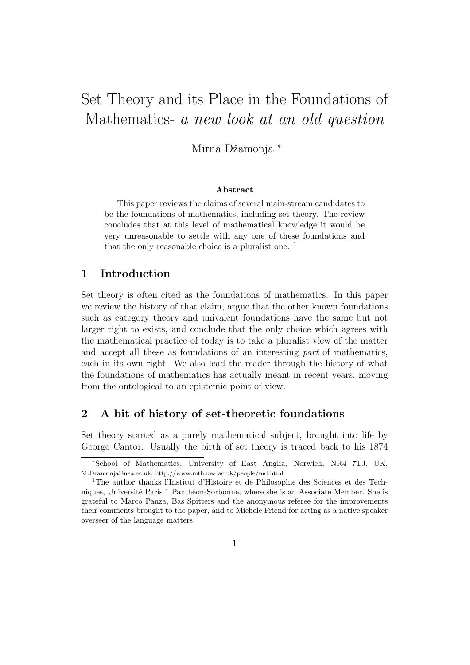# Set Theory and its Place in the Foundations of Mathematics- a new look at an old question

Mirna Džamonja \*

#### Abstract

This paper reviews the claims of several main-stream candidates to be the foundations of mathematics, including set theory. The review concludes that at this level of mathematical knowledge it would be very unreasonable to settle with any one of these foundations and that the only reasonable choice is a pluralist one.  $1$ 

#### 1 Introduction

Set theory is often cited as the foundations of mathematics. In this paper we review the history of that claim, argue that the other known foundations such as category theory and univalent foundations have the same but not larger right to exists, and conclude that the only choice which agrees with the mathematical practice of today is to take a pluralist view of the matter and accept all these as foundations of an interesting part of mathematics, each in its own right. We also lead the reader through the history of what the foundations of mathematics has actually meant in recent years, moving from the ontological to an epistemic point of view.

# 2 A bit of history of set-theoretic foundations

Set theory started as a purely mathematical subject, brought into life by George Cantor. Usually the birth of set theory is traced back to his 1874

<sup>∗</sup>School of Mathematics, University of East Anglia, Norwich, NR4 7TJ, UK, M.Dzamonja@uea.ac.uk, http://www.mth.uea.ac.uk/people/md.html

<sup>1</sup>The author thanks l'Institut d'Histoire et de Philosophie des Sciences et des Techniques, Université Paris 1 Panthéon-Sorbonne, where she is an Associate Member. She is grateful to Marco Panza, Bas Spitters and the anonymous referee for the improvements their comments brought to the paper, and to Michele Friend for acting as a native speaker overseer of the language matters.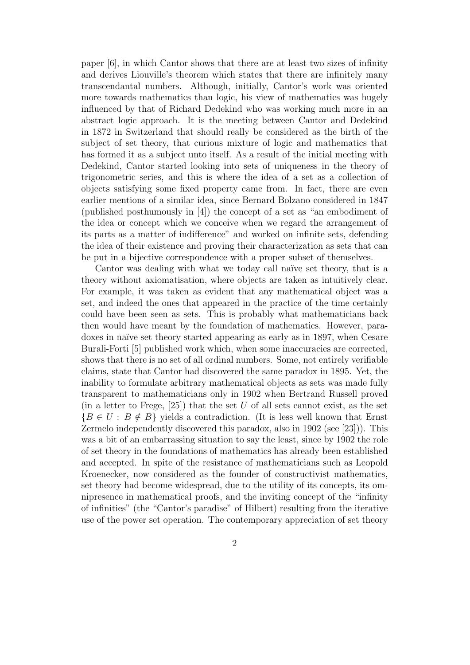paper [6], in which Cantor shows that there are at least two sizes of infinity and derives Liouville's theorem which states that there are infinitely many transcendantal numbers. Although, initially, Cantor's work was oriented more towards mathematics than logic, his view of mathematics was hugely influenced by that of Richard Dedekind who was working much more in an abstract logic approach. It is the meeting between Cantor and Dedekind in 1872 in Switzerland that should really be considered as the birth of the subject of set theory, that curious mixture of logic and mathematics that has formed it as a subject unto itself. As a result of the initial meeting with Dedekind, Cantor started looking into sets of uniqueness in the theory of trigonometric series, and this is where the idea of a set as a collection of objects satisfying some fixed property came from. In fact, there are even earlier mentions of a similar idea, since Bernard Bolzano considered in 1847 (published posthumously in [4]) the concept of a set as "an embodiment of the idea or concept which we conceive when we regard the arrangement of its parts as a matter of indifference" and worked on infinite sets, defending the idea of their existence and proving their characterization as sets that can be put in a bijective correspondence with a proper subset of themselves.

Cantor was dealing with what we today call naïve set theory, that is a theory without axiomatisation, where objects are taken as intuitively clear. For example, it was taken as evident that any mathematical object was a set, and indeed the ones that appeared in the practice of the time certainly could have been seen as sets. This is probably what mathematicians back then would have meant by the foundation of mathematics. However, paradoxes in naïve set theory started appearing as early as in 1897, when Cesare Burali-Forti [5] published work which, when some inaccuracies are corrected, shows that there is no set of all ordinal numbers. Some, not entirely verifiable claims, state that Cantor had discovered the same paradox in 1895. Yet, the inability to formulate arbitrary mathematical objects as sets was made fully transparent to mathematicians only in 1902 when Bertrand Russell proved (in a letter to Frege,  $[25]$ ) that the set U of all sets cannot exist, as the set  ${B \in U : B \notin B}$  yields a contradiction. (It is less well known that Ernst Zermelo independently discovered this paradox, also in 1902 (see [23])). This was a bit of an embarrassing situation to say the least, since by 1902 the role of set theory in the foundations of mathematics has already been established and accepted. In spite of the resistance of mathematicians such as Leopold Kroenecker, now considered as the founder of constructivist mathematics, set theory had become widespread, due to the utility of its concepts, its omnipresence in mathematical proofs, and the inviting concept of the "infinity of infinities" (the "Cantor's paradise" of Hilbert) resulting from the iterative use of the power set operation. The contemporary appreciation of set theory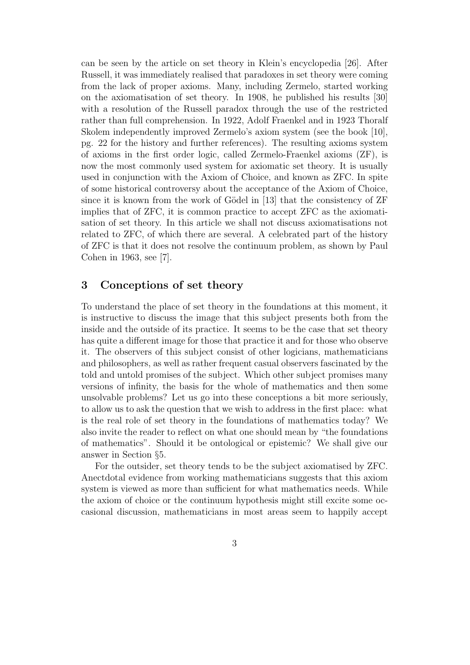can be seen by the article on set theory in Klein's encyclopedia [26]. After Russell, it was immediately realised that paradoxes in set theory were coming from the lack of proper axioms. Many, including Zermelo, started working on the axiomatisation of set theory. In 1908, he published his results [30] with a resolution of the Russell paradox through the use of the restricted rather than full comprehension. In 1922, Adolf Fraenkel and in 1923 Thoralf Skolem independently improved Zermelo's axiom system (see the book [10], pg. 22 for the history and further references). The resulting axioms system of axioms in the first order logic, called Zermelo-Fraenkel axioms (ZF), is now the most commonly used system for axiomatic set theory. It is usually used in conjunction with the Axiom of Choice, and known as ZFC. In spite of some historical controversy about the acceptance of the Axiom of Choice, since it is known from the work of Gödel in  $[13]$  that the consistency of  $\rm ZF$ implies that of ZFC, it is common practice to accept ZFC as the axiomatisation of set theory. In this article we shall not discuss axiomatisations not related to ZFC, of which there are several. A celebrated part of the history of ZFC is that it does not resolve the continuum problem, as shown by Paul Cohen in 1963, see [7].

# 3 Conceptions of set theory

To understand the place of set theory in the foundations at this moment, it is instructive to discuss the image that this subject presents both from the inside and the outside of its practice. It seems to be the case that set theory has quite a different image for those that practice it and for those who observe it. The observers of this subject consist of other logicians, mathematicians and philosophers, as well as rather frequent casual observers fascinated by the told and untold promises of the subject. Which other subject promises many versions of infinity, the basis for the whole of mathematics and then some unsolvable problems? Let us go into these conceptions a bit more seriously, to allow us to ask the question that we wish to address in the first place: what is the real role of set theory in the foundations of mathematics today? We also invite the reader to reflect on what one should mean by "the foundations of mathematics". Should it be ontological or epistemic? We shall give our answer in Section §5.

For the outsider, set theory tends to be the subject axiomatised by ZFC. Anectdotal evidence from working mathematicians suggests that this axiom system is viewed as more than sufficient for what mathematics needs. While the axiom of choice or the continuum hypothesis might still excite some occasional discussion, mathematicians in most areas seem to happily accept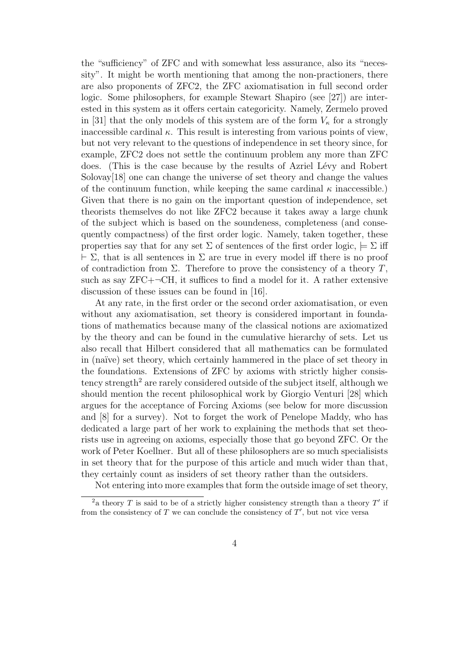the "sufficiency" of ZFC and with somewhat less assurance, also its "necessity". It might be worth mentioning that among the non-practioners, there are also proponents of ZFC2, the ZFC axiomatisation in full second order logic. Some philosophers, for example Stewart Shapiro (see [27]) are interested in this system as it offers certain categoricity. Namely, Zermelo proved in [31] that the only models of this system are of the form  $V_{\kappa}$  for a strongly inaccessible cardinal  $\kappa$ . This result is interesting from various points of view, but not very relevant to the questions of independence in set theory since, for example, ZFC2 does not settle the continuum problem any more than ZFC does. (This is the case because by the results of Azriel Lévy and Robert Solovay<sup>[18]</sup> one can change the universe of set theory and change the values of the continuum function, while keeping the same cardinal  $\kappa$  inaccessible.) Given that there is no gain on the important question of independence, set theorists themselves do not like ZFC2 because it takes away a large chunk of the subject which is based on the soundeness, completeness (and consequently compactness) of the first order logic. Namely, taken together, these properties say that for any set  $\Sigma$  of sentences of the first order logic,  $\models \Sigma$  iff  $\vdash \Sigma$ , that is all sentences in  $\Sigma$  are true in every model iff there is no proof of contradiction from  $\Sigma$ . Therefore to prove the consistency of a theory T, such as say  $ZFC+\neg CH$ , it suffices to find a model for it. A rather extensive discussion of these issues can be found in [16].

At any rate, in the first order or the second order axiomatisation, or even without any axiomatisation, set theory is considered important in foundations of mathematics because many of the classical notions are axiomatized by the theory and can be found in the cumulative hierarchy of sets. Let us also recall that Hilbert considered that all mathematics can be formulated in (naïve) set theory, which certainly hammered in the place of set theory in the foundations. Extensions of ZFC by axioms with strictly higher consistency strength<sup>2</sup> are rarely considered outside of the subject itself, although we should mention the recent philosophical work by Giorgio Venturi [28] which argues for the acceptance of Forcing Axioms (see below for more discussion and [8] for a survey). Not to forget the work of Penelope Maddy, who has dedicated a large part of her work to explaining the methods that set theorists use in agreeing on axioms, especially those that go beyond ZFC. Or the work of Peter Koellner. But all of these philosophers are so much specialisists in set theory that for the purpose of this article and much wider than that, they certainly count as insiders of set theory rather than the outsiders.

Not entering into more examples that form the outside image of set theory,

<sup>&</sup>lt;sup>2</sup>a theory T is said to be of a strictly higher consistency strength than a theory T' if from the consistency of  $T$  we can conclude the consistency of  $T'$ , but not vice versa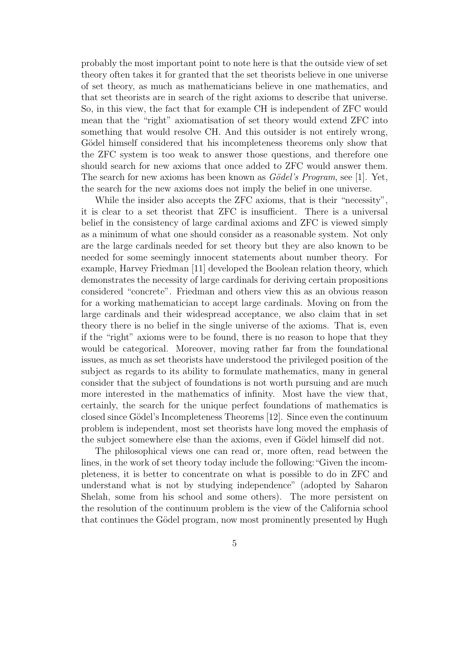probably the most important point to note here is that the outside view of set theory often takes it for granted that the set theorists believe in one universe of set theory, as much as mathematicians believe in one mathematics, and that set theorists are in search of the right axioms to describe that universe. So, in this view, the fact that for example CH is independent of ZFC would mean that the "right" axiomatisation of set theory would extend ZFC into something that would resolve CH. And this outsider is not entirely wrong, Gödel himself considered that his incompleteness theorems only show that the ZFC system is too weak to answer those questions, and therefore one should search for new axioms that once added to ZFC would answer them. The search for new axioms has been known as  $Gödel's Program$ , see [1]. Yet, the search for the new axioms does not imply the belief in one universe.

While the insider also accepts the ZFC axioms, that is their "necessity", it is clear to a set theorist that ZFC is insufficient. There is a universal belief in the consistency of large cardinal axioms and ZFC is viewed simply as a minimum of what one should consider as a reasonable system. Not only are the large cardinals needed for set theory but they are also known to be needed for some seemingly innocent statements about number theory. For example, Harvey Friedman [11] developed the Boolean relation theory, which demonstrates the necessity of large cardinals for deriving certain propositions considered "concrete". Friedman and others view this as an obvious reason for a working mathematician to accept large cardinals. Moving on from the large cardinals and their widespread acceptance, we also claim that in set theory there is no belief in the single universe of the axioms. That is, even if the "right" axioms were to be found, there is no reason to hope that they would be categorical. Moreover, moving rather far from the foundational issues, as much as set theorists have understood the privileged position of the subject as regards to its ability to formulate mathematics, many in general consider that the subject of foundations is not worth pursuing and are much more interested in the mathematics of infinity. Most have the view that, certainly, the search for the unique perfect foundations of mathematics is closed since Gödel's Incompleteness Theorems [12]. Since even the continuum problem is independent, most set theorists have long moved the emphasis of the subject somewhere else than the axioms, even if Gödel himself did not.

The philosophical views one can read or, more often, read between the lines, in the work of set theory today include the following:"Given the incompleteness, it is better to concentrate on what is possible to do in ZFC and understand what is not by studying independence" (adopted by Saharon Shelah, some from his school and some others). The more persistent on the resolution of the continuum problem is the view of the California school that continues the Gödel program, now most prominently presented by Hugh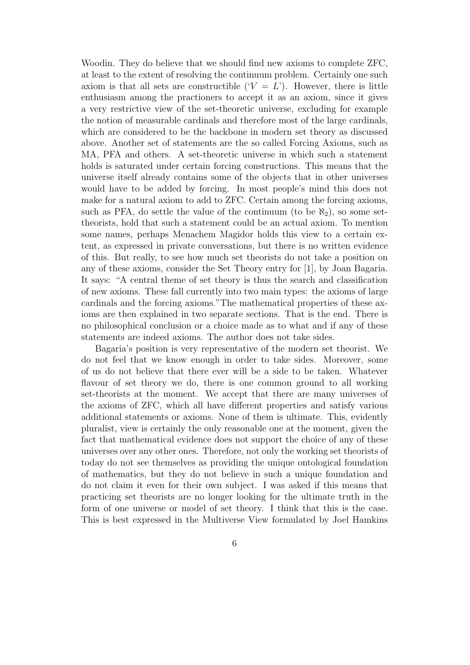Woodin. They do believe that we should find new axioms to complete ZFC, at least to the extent of resolving the continuum problem. Certainly one such axiom is that all sets are constructible  $(V = L')$ . However, there is little enthusiasm among the practioners to accept it as an axiom, since it gives a very restrictive view of the set-theoretic universe, excluding for example the notion of measurable cardinals and therefore most of the large cardinals, which are considered to be the backbone in modern set theory as discussed above. Another set of statements are the so called Forcing Axioms, such as MA, PFA and others. A set-theoretic universe in which such a statement holds is saturated under certain forcing constructions. This means that the universe itself already contains some of the objects that in other universes would have to be added by forcing. In most people's mind this does not make for a natural axiom to add to ZFC. Certain among the forcing axioms, such as PFA, do settle the value of the continuum (to be  $\aleph_2$ ), so some settheorists, hold that such a statement could be an actual axiom. To mention some names, perhaps Menachem Magidor holds this view to a certain extent, as expressed in private conversations, but there is no written evidence of this. But really, to see how much set theorists do not take a position on any of these axioms, consider the Set Theory entry for [1], by Joan Bagaria. It says: "A central theme of set theory is thus the search and classification of new axioms. These fall currently into two main types: the axioms of large cardinals and the forcing axioms."The mathematical properties of these axioms are then explained in two separate sections. That is the end. There is no philosophical conclusion or a choice made as to what and if any of these statements are indeed axioms. The author does not take sides.

Bagaria's position is very representative of the modern set theorist. We do not feel that we know enough in order to take sides. Moreover, some of us do not believe that there ever will be a side to be taken. Whatever flavour of set theory we do, there is one common ground to all working set-theorists at the moment. We accept that there are many universes of the axioms of ZFC, which all have different properties and satisfy various additional statements or axioms. None of them is ultimate. This, evidently pluralist, view is certainly the only reasonable one at the moment, given the fact that mathematical evidence does not support the choice of any of these universes over any other ones. Therefore, not only the working set theorists of today do not see themselves as providing the unique ontological foundation of mathematics, but they do not believe in such a unique foundation and do not claim it even for their own subject. I was asked if this means that practicing set theorists are no longer looking for the ultimate truth in the form of one universe or model of set theory. I think that this is the case. This is best expressed in the Multiverse View formulated by Joel Hamkins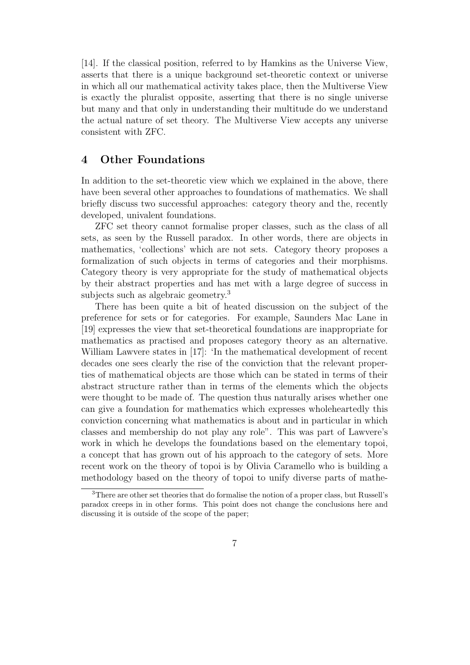[14]. If the classical position, referred to by Hamkins as the Universe View, asserts that there is a unique background set-theoretic context or universe in which all our mathematical activity takes place, then the Multiverse View is exactly the pluralist opposite, asserting that there is no single universe but many and that only in understanding their multitude do we understand the actual nature of set theory. The Multiverse View accepts any universe consistent with ZFC.

### 4 Other Foundations

In addition to the set-theoretic view which we explained in the above, there have been several other approaches to foundations of mathematics. We shall briefly discuss two successful approaches: category theory and the, recently developed, univalent foundations.

ZFC set theory cannot formalise proper classes, such as the class of all sets, as seen by the Russell paradox. In other words, there are objects in mathematics, 'collections' which are not sets. Category theory proposes a formalization of such objects in terms of categories and their morphisms. Category theory is very appropriate for the study of mathematical objects by their abstract properties and has met with a large degree of success in subjects such as algebraic geometry.<sup>3</sup>

There has been quite a bit of heated discussion on the subject of the preference for sets or for categories. For example, Saunders Mac Lane in [19] expresses the view that set-theoretical foundations are inappropriate for mathematics as practised and proposes category theory as an alternative. William Lawvere states in [17]: 'In the mathematical development of recent decades one sees clearly the rise of the conviction that the relevant properties of mathematical objects are those which can be stated in terms of their abstract structure rather than in terms of the elements which the objects were thought to be made of. The question thus naturally arises whether one can give a foundation for mathematics which expresses wholeheartedly this conviction concerning what mathematics is about and in particular in which classes and membership do not play any role". This was part of Lawvere's work in which he develops the foundations based on the elementary topoi, a concept that has grown out of his approach to the category of sets. More recent work on the theory of topoi is by Olivia Caramello who is building a methodology based on the theory of topoi to unify diverse parts of mathe-

<sup>3</sup>There are other set theories that do formalise the notion of a proper class, but Russell's paradox creeps in in other forms. This point does not change the conclusions here and discussing it is outside of the scope of the paper;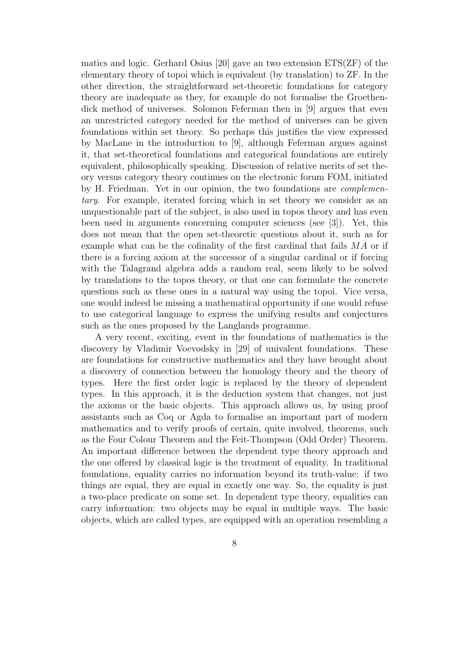matics and logic. Gerhard Osius [20] gave an two extension ETS(ZF) of the elementary theory of topoi which is equivalent (by translation) to ZF. In the other direction, the straightforward set-theoretic foundations for category theory are inadequate as they, for example do not formalise the Groethendick method of universes. Solomon Feferman then in [9] argues that even an unrestricted category needed for the method of universes can be given foundations within set theory. So perhaps this justifies the view expressed by MacLane in the introduction to [9], although Feferman argues against it, that set-theoretical foundations and categorical foundations are entirely equivalent, philosophically speaking. Discussion of relative merits of set theory versus category theory continues on the electronic forum FOM, initiated by H. Friedman. Yet in our opinion, the two foundations are complementary. For example, iterated forcing which in set theory we consider as an unquestionable part of the subject, is also used in topos theory and has even been used in arguments concerning computer sciences (see [3]). Yet, this does not mean that the open set-theoretic questions about it, such as for example what can be the cofinality of the first cardinal that fails MA or if there is a forcing axiom at the successor of a singular cardinal or if forcing with the Talagrand algebra adds a random real, seem likely to be solved by translations to the topos theory, or that one can formulate the concrete questions such as these ones in a natural way using the topoi. Vice versa, one would indeed be missing a mathematical opportunity if one would refuse to use categorical language to express the unifying results and conjectures such as the ones proposed by the Langlands programme.

A very recent, exciting, event in the foundations of mathematics is the discovery by Vladimir Voevodsky in [29] of univalent foundations. These are foundations for constructive mathematics and they have brought about a discovery of connection between the homology theory and the theory of types. Here the first order logic is replaced by the theory of dependent types. In this approach, it is the deduction system that changes, not just the axioms or the basic objects. This approach allows us, by using proof assistants such as Coq or Agda to formalise an important part of modern mathematics and to verify proofs of certain, quite involved, theorems, such as the Four Colour Theorem and the Feit-Thompson (Odd Order) Theorem. An important difference between the dependent type theory approach and the one offered by classical logic is the treatment of equality. In traditional foundations, equality carries no information beyond its truth-value: if two things are equal, they are equal in exactly one way. So, the equality is just a two-place predicate on some set. In dependent type theory, equalities can carry information: two objects may be equal in multiple ways. The basic objects, which are called types, are equipped with an operation resembling a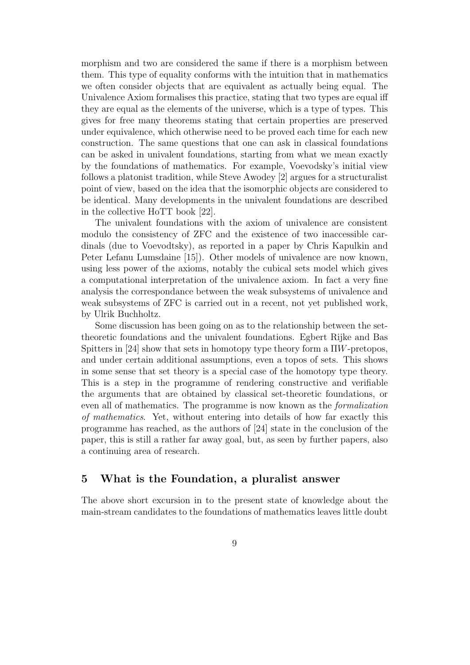morphism and two are considered the same if there is a morphism between them. This type of equality conforms with the intuition that in mathematics we often consider objects that are equivalent as actually being equal. The Univalence Axiom formalises this practice, stating that two types are equal iff they are equal as the elements of the universe, which is a type of types. This gives for free many theorems stating that certain properties are preserved under equivalence, which otherwise need to be proved each time for each new construction. The same questions that one can ask in classical foundations can be asked in univalent foundations, starting from what we mean exactly by the foundations of mathematics. For example, Voevodsky's initial view follows a platonist tradition, while Steve Awodey [2] argues for a structuralist point of view, based on the idea that the isomorphic objects are considered to be identical. Many developments in the univalent foundations are described in the collective HoTT book [22].

The univalent foundations with the axiom of univalence are consistent modulo the consistency of ZFC and the existence of two inaccessible cardinals (due to Voevodtsky), as reported in a paper by Chris Kapulkin and Peter Lefanu Lumsdaine [15]). Other models of univalence are now known, using less power of the axioms, notably the cubical sets model which gives a computational interpretation of the univalence axiom. In fact a very fine analysis the correspondance between the weak subsystems of univalence and weak subsystems of ZFC is carried out in a recent, not yet published work, by Ulrik Buchholtz.

Some discussion has been going on as to the relationship between the settheoretic foundations and the univalent foundations. Egbert Rijke and Bas Spitters in [24] show that sets in homotopy type theory form a  $\Pi W$ -pretopos, and under certain additional assumptions, even a topos of sets. This shows in some sense that set theory is a special case of the homotopy type theory. This is a step in the programme of rendering constructive and verifiable the arguments that are obtained by classical set-theoretic foundations, or even all of mathematics. The programme is now known as the formalization of mathematics. Yet, without entering into details of how far exactly this programme has reached, as the authors of [24] state in the conclusion of the paper, this is still a rather far away goal, but, as seen by further papers, also a continuing area of research.

## 5 What is the Foundation, a pluralist answer

The above short excursion in to the present state of knowledge about the main-stream candidates to the foundations of mathematics leaves little doubt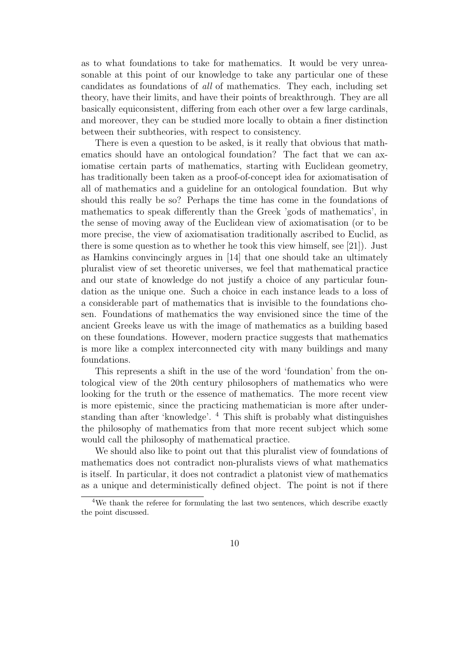as to what foundations to take for mathematics. It would be very unreasonable at this point of our knowledge to take any particular one of these candidates as foundations of all of mathematics. They each, including set theory, have their limits, and have their points of breakthrough. They are all basically equiconsistent, differing from each other over a few large cardinals, and moreover, they can be studied more locally to obtain a finer distinction between their subtheories, with respect to consistency.

There is even a question to be asked, is it really that obvious that mathematics should have an ontological foundation? The fact that we can axiomatise certain parts of mathematics, starting with Euclidean geometry, has traditionally been taken as a proof-of-concept idea for axiomatisation of all of mathematics and a guideline for an ontological foundation. But why should this really be so? Perhaps the time has come in the foundations of mathematics to speak differently than the Greek 'gods of mathematics', in the sense of moving away of the Euclidean view of axiomatisation (or to be more precise, the view of axiomatisation traditionally ascribed to Euclid, as there is some question as to whether he took this view himself, see [21]). Just as Hamkins convincingly argues in [14] that one should take an ultimately pluralist view of set theoretic universes, we feel that mathematical practice and our state of knowledge do not justify a choice of any particular foundation as the unique one. Such a choice in each instance leads to a loss of a considerable part of mathematics that is invisible to the foundations chosen. Foundations of mathematics the way envisioned since the time of the ancient Greeks leave us with the image of mathematics as a building based on these foundations. However, modern practice suggests that mathematics is more like a complex interconnected city with many buildings and many foundations.

This represents a shift in the use of the word 'foundation' from the ontological view of the 20th century philosophers of mathematics who were looking for the truth or the essence of mathematics. The more recent view is more epistemic, since the practicing mathematician is more after understanding than after 'knowledge'. <sup>4</sup> This shift is probably what distinguishes the philosophy of mathematics from that more recent subject which some would call the philosophy of mathematical practice.

We should also like to point out that this pluralist view of foundations of mathematics does not contradict non-pluralists views of what mathematics is itself. In particular, it does not contradict a platonist view of mathematics as a unique and deterministically defined object. The point is not if there

<sup>4</sup>We thank the referee for formulating the last two sentences, which describe exactly the point discussed.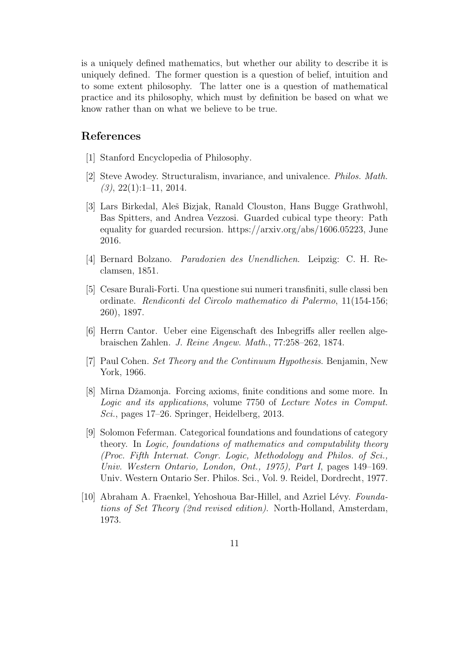is a uniquely defined mathematics, but whether our ability to describe it is uniquely defined. The former question is a question of belief, intuition and to some extent philosophy. The latter one is a question of mathematical practice and its philosophy, which must by definition be based on what we know rather than on what we believe to be true.

### References

- [1] Stanford Encyclopedia of Philosophy.
- [2] Steve Awodey. Structuralism, invariance, and univalence. Philos. Math.  $(3), 22(1):1-11, 2014.$
- [3] Lars Birkedal, Aleš Bizjak, Ranald Clouston, Hans Bugge Grathwohl, Bas Spitters, and Andrea Vezzosi. Guarded cubical type theory: Path equality for guarded recursion. https://arxiv.org/abs/1606.05223, June 2016.
- [4] Bernard Bolzano. Paradoxien des Unendlichen. Leipzig: C. H. Reclamsen, 1851.
- [5] Cesare Burali-Forti. Una questione sui numeri transfiniti, sulle classi ben ordinate. Rendiconti del Circolo mathematico di Palermo, 11(154-156; 260), 1897.
- [6] Herrn Cantor. Ueber eine Eigenschaft des Inbegriffs aller reellen algebraischen Zahlen. J. Reine Angew. Math., 77:258–262, 1874.
- [7] Paul Cohen. Set Theory and the Continuum Hypothesis. Benjamin, New York, 1966.
- [8] Mirna Džamonja. Forcing axioms, finite conditions and some more. In Logic and its applications, volume 7750 of Lecture Notes in Comput. Sci., pages 17–26. Springer, Heidelberg, 2013.
- [9] Solomon Feferman. Categorical foundations and foundations of category theory. In Logic, foundations of mathematics and computability theory (Proc. Fifth Internat. Congr. Logic, Methodology and Philos. of Sci., Univ. Western Ontario, London, Ont., 1975), Part I, pages 149–169. Univ. Western Ontario Ser. Philos. Sci., Vol. 9. Reidel, Dordrecht, 1977.
- [10] Abraham A. Fraenkel, Yehoshoua Bar-Hillel, and Azriel Lévy. Foundations of Set Theory (2nd revised edition). North-Holland, Amsterdam, 1973.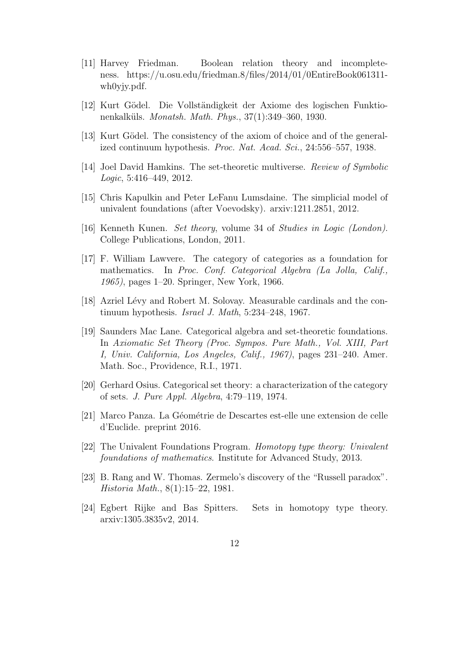- [11] Harvey Friedman. Boolean relation theory and incompleteness. https://u.osu.edu/friedman.8/files/2014/01/0EntireBook061311 wh0yjy.pdf.
- [12] Kurt Gödel. Die Vollständigkeit der Axiome des logischen Funktionenkalk¨uls. Monatsh. Math. Phys., 37(1):349–360, 1930.
- [13] Kurt Gödel. The consistency of the axiom of choice and of the generalized continuum hypothesis. Proc. Nat. Acad. Sci., 24:556–557, 1938.
- [14] Joel David Hamkins. The set-theoretic multiverse. Review of Symbolic Logic, 5:416–449, 2012.
- [15] Chris Kapulkin and Peter LeFanu Lumsdaine. The simplicial model of univalent foundations (after Voevodsky). arxiv:1211.2851, 2012.
- [16] Kenneth Kunen. Set theory, volume 34 of Studies in Logic (London). College Publications, London, 2011.
- [17] F. William Lawvere. The category of categories as a foundation for mathematics. In Proc. Conf. Categorical Algebra (La Jolla, Calif., 1965), pages 1–20. Springer, New York, 1966.
- [18] Azriel Lévy and Robert M. Solovay. Measurable cardinals and the continuum hypothesis. Israel J. Math, 5:234–248, 1967.
- [19] Saunders Mac Lane. Categorical algebra and set-theoretic foundations. In Axiomatic Set Theory (Proc. Sympos. Pure Math., Vol. XIII, Part I, Univ. California, Los Angeles, Calif., 1967), pages 231–240. Amer. Math. Soc., Providence, R.I., 1971.
- [20] Gerhard Osius. Categorical set theory: a characterization of the category of sets. J. Pure Appl. Algebra, 4:79–119, 1974.
- [21] Marco Panza. La Géométrie de Descartes est-elle une extension de celle d'Euclide. preprint 2016.
- [22] The Univalent Foundations Program. Homotopy type theory: Univalent foundations of mathematics. Institute for Advanced Study, 2013.
- [23] B. Rang and W. Thomas. Zermelo's discovery of the "Russell paradox". Historia Math., 8(1):15–22, 1981.
- [24] Egbert Rijke and Bas Spitters. Sets in homotopy type theory. arxiv:1305.3835v2, 2014.